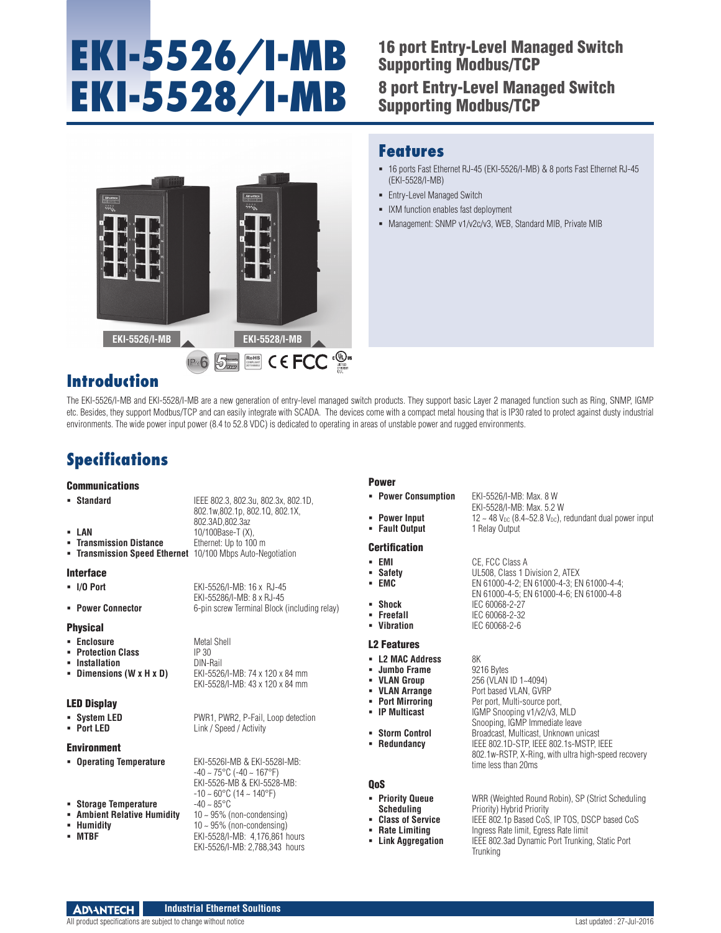# **EKI-5526/I-MB EKI-5528/I-MB**

# 16 port Entry-Level Managed Switch Supporting Modbus/TCP 8 port Entry-Level Managed Switch Supporting Modbus/TCP



### **Features**

 16 ports Fast Ethernet RJ-45 (EKI-5526/I-MB) & 8 ports Fast Ethernet RJ-45 (EKI-5528/I-MB)

EKI-5528/I-MB: Max. 5.2 W

**Vibration** IEC 60068-2-6

Port based VLAN, GVRP

time less than 20ms

**IGMP Snooping v1/v2/v3, MLD** Snooping, IGMP Immediate leave

 **Redundancy** IEEE 802.1D-STP, IEEE 802.1s-MSTP, IEEE 802.1w-RSTP, X-Ring, with ultra high-speed recovery

EN 61000-4-5; EN 61000-4-6; EN 61000-4-8

- **Entry-Level Managed Switch**
- IXM function enables fast deployment
- Management: SNMP v1/v2c/v3, WEB, Standard MIB, Private MIB

# **Introduction**

The EKI-5526/I-MB and EKI-5528/I-MB are a new generation of entry-level managed switch products. They support basic Layer 2 managed function such as Ring, SNMP, IGMP etc. Besides, they support Modbus/TCP and can easily integrate with SCADA. The devices come with a compact metal housing that is IP30 rated to protect against dusty industrial environments. The wide power input power (8.4 to 52.8 VDC) is dedicated to operating in areas of unstable power and rugged environments.

# **Specifications**

**EXECUTE: Transmission Distance** 

#### **Communications**

|  |  | Standard |  |
|--|--|----------|--|
|--|--|----------|--|

 **Standard** IEEE 802.3, 802.3u, 802.3x, 802.1D, 802.1w,802.1p, 802.1Q, 802.1X, 802.3AD,802.3az **LAN** 10/100Base-T (X),<br>**Transmission Distance** Ethernet: Up to 100 m **Transmission Speed Ethernet** 10/100 Mbps Auto-Negotiation

EKI-55286/I-MB: 8 x RJ-45

Interface

**I/O Port** EKI-5526/I-MB: 16 x RJ-45

**Power Connector** 6-pin screw Terminal Block (including relay)

#### Physical

- **Enclosure** Metal Shell<br>**Protection Class** IP 30
- **Protection Class** IP 30<br>**Protection**<br>**Protection**<br>**Protection**
- **Installation** DIN-Rail
- **Dimensions (W x H x D)**

#### LED Display

- 
- 
- Environment
- 
- 
- **Ambient Relative Humidity**
- 
- 

**System LED** PWR1, PWR2, P-Fail, Loop detection<br> **Port LED** Link / Speed / Activity **Link / Speed / Activity** 

EKI-5528/I-MB: 43 x 120 x 84 mm

 **Operating Temperature** EKI-5526I-MB & EKI-5528I-MB:  $-40 \sim 75^{\circ}$ C ( $-40 \sim 167^{\circ}$ F) EKI-5526-MB & EKI-5528-MB:  $-10 \sim 60^{\circ}$ C (14  $\sim 140^{\circ}$ F) **Storage Temperature -40 ~ 85°C<br><b>- Ambient Relative Humidity** 10 ~ 95% (non-condensing) **Humidity** 10 ~ 95% (non-condensing)<br>**MTBF** EKI-5528/I-MB: 4,176,861 html **MTBF** EKI-5528/I-MB: 4,176,861 hours EKI-5526/I-MB: 2,788,343 hours

#### Power

- **Power Consumption** EKI-5526/I-MB: Max. 8 W
- **Power Input** 12  $\sim$  48 V<sub>DC</sub> (8.4~52.8 V<sub>DC</sub>), redundant dual power input<br>**Fault Output** 1 Relay Output
- **Fault Output**

#### **Certification**

- **EMI CE**, FCC Class A<br>**Bafety CE, FCC Class 1 D Safety** UL508, Class 1 Division 2, ATEX **EMC** EN 61000-4-2; EN 61000-4-3; EN 61000-4-4;
- 
- **Shock** IEC 60068-2-27<br>**Freefall** IEC 60068-2-32
- **Freefall IEC 60068-2-32**<br> **Vibration IEC 60068-2-6**

#### L2 Features

- **L2 MAC Address** 8K<br>**Example Frame** 9216 Bytes
- **Jumbo Frame**<br>• VLAN Group
- **VLAN Group 256 (VLAN ID 1~4094)**<br> **VLAN Arrange Port based VLAN. GVR**
- 
- **Port Mirroring** Per port, Multi-source port,<br>**PD Multicast** PGMP Snooping v1/v2/v3.
- 
- **Storm Control Second Broadcast, Multicast, Unknown unicast<br>
<b>Redundancy** FEE 802 1D-STP IFFE 802 1s-MSTP I
- 

#### QoS

- 
- 
- 
- 

**Priority Queue WRR (Weighted Round Robin), SP (Strict Scheduling Scheduling Priority) Hybrid Priority Scheduling** Priority) Hybrid Priority **Class of Service IEEE 802.1p Based CoS, IP TOS, DSCP based CoS**<br>**Rate Limiting let all press Rate limit, Egress Rate limit Rate Limiting Filter Brate Limit, Egress Rate limit**<br>**In Link Aggregation** IEEE 802.3ad Dynamic Port Trunkin **IEEE 802.3ad Dynamic Port Trunking, Static Port Trunking**